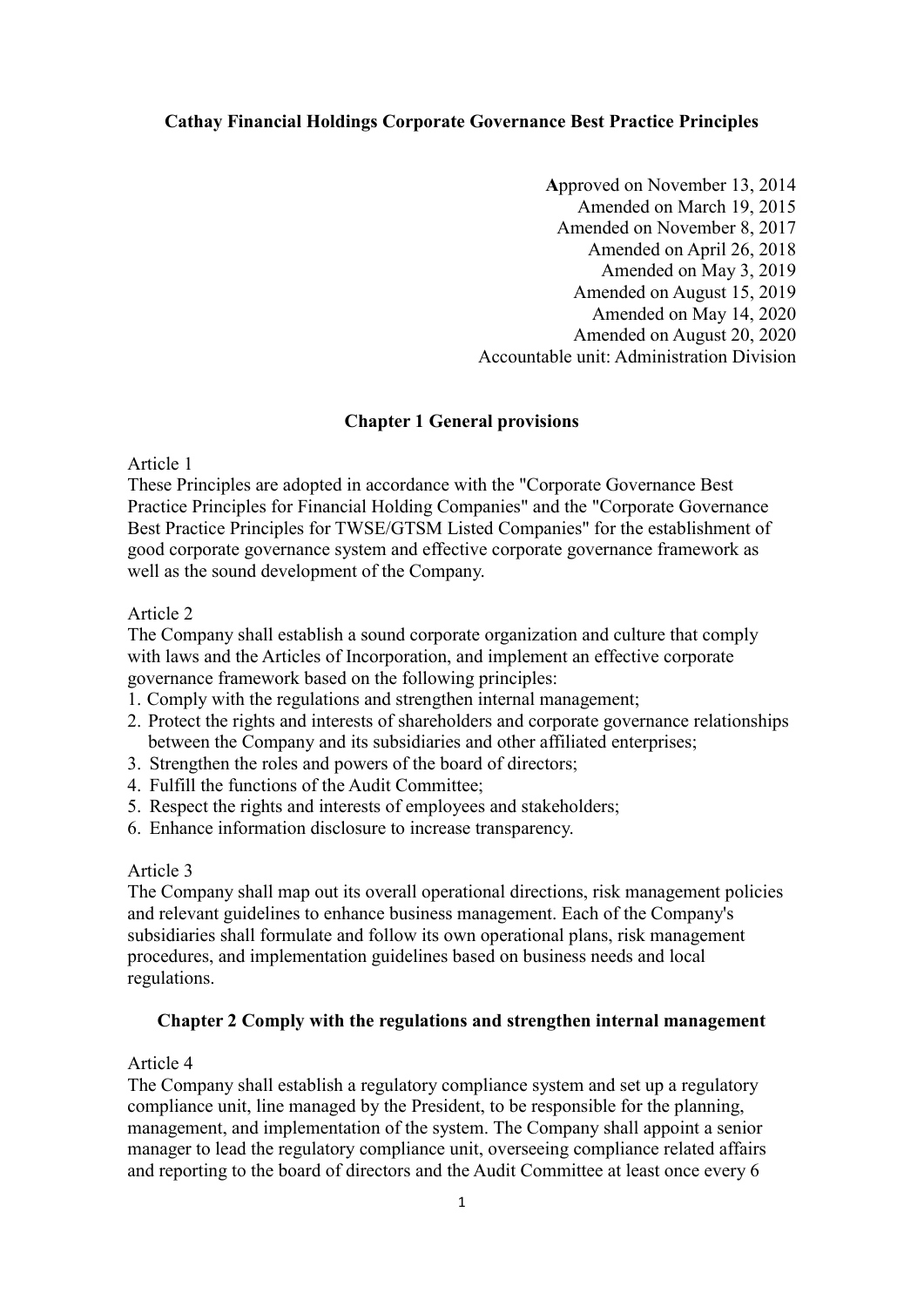# **Cathay Financial Holdings Corporate Governance Best Practice Principles**

**A**pproved on November 13, 2014 Amended on March 19, 2015 Amended on November 8, 2017 Amended on April 26, 2018 Amended on May 3, 2019 Amended on August 15, 2019 Amended on May 14, 2020 Amended on August 20, 2020 Accountable unit: Administration Division

#### **Chapter 1 General provisions**

Article 1

These Principles are adopted in accordance with the "Corporate Governance Best Practice Principles for Financial Holding Companies" and the "Corporate Governance Best Practice Principles for TWSE/GTSM Listed Companies" for the establishment of good corporate governance system and effective corporate governance framework as well as the sound development of the Company.

#### Article 2

The Company shall establish a sound corporate organization and culture that comply with laws and the Articles of Incorporation, and implement an effective corporate governance framework based on the following principles:

- 1. Comply with the regulations and strengthen internal management;
- 2. Protect the rights and interests of shareholders and corporate governance relationships between the Company and its subsidiaries and other affiliated enterprises;
- 3. Strengthen the roles and powers of the board of directors;
- 4. Fulfill the functions of the Audit Committee;
- 5. Respect the rights and interests of employees and stakeholders;
- 6. Enhance information disclosure to increase transparency.

#### Article 3

The Company shall map out its overall operational directions, risk management policies and relevant guidelines to enhance business management. Each of the Company's subsidiaries shall formulate and follow its own operational plans, risk management procedures, and implementation guidelines based on business needs and local regulations.

#### **Chapter 2 Comply with the regulations and strengthen internal management**

### Article 4

The Company shall establish a regulatory compliance system and set up a regulatory compliance unit, line managed by the President, to be responsible for the planning, management, and implementation of the system. The Company shall appoint a senior manager to lead the regulatory compliance unit, overseeing compliance related affairs and reporting to the board of directors and the Audit Committee at least once every 6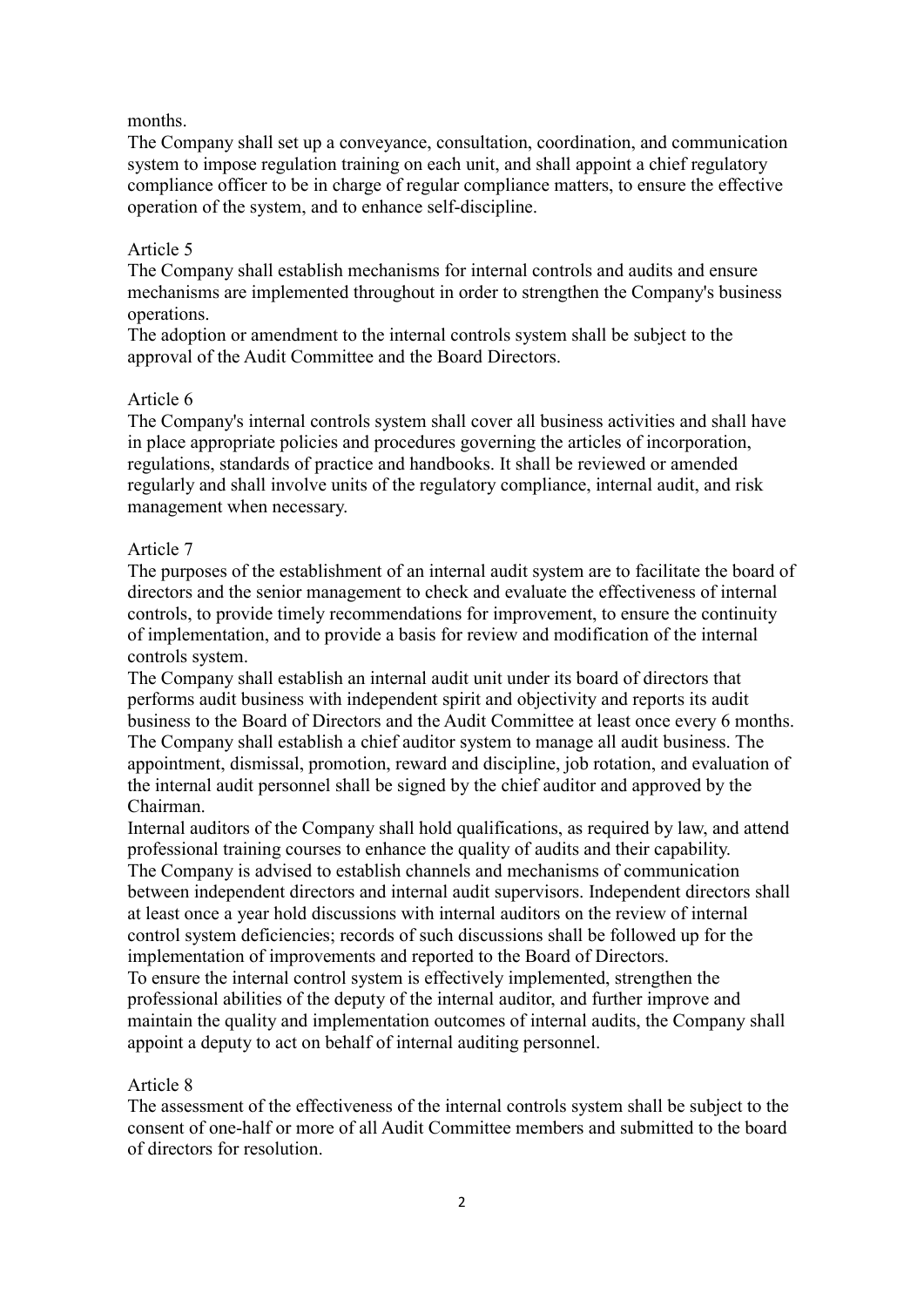### months.

The Company shall set up a conveyance, consultation, coordination, and communication system to impose regulation training on each unit, and shall appoint a chief regulatory compliance officer to be in charge of regular compliance matters, to ensure the effective operation of the system, and to enhance self-discipline.

### Article 5

The Company shall establish mechanisms for internal controls and audits and ensure mechanisms are implemented throughout in order to strengthen the Company's business operations.

The adoption or amendment to the internal controls system shall be subject to the approval of the Audit Committee and the Board Directors.

#### Article 6

The Company's internal controls system shall cover all business activities and shall have in place appropriate policies and procedures governing the articles of incorporation, regulations, standards of practice and handbooks. It shall be reviewed or amended regularly and shall involve units of the regulatory compliance, internal audit, and risk management when necessary.

## Article 7

The purposes of the establishment of an internal audit system are to facilitate the board of directors and the senior management to check and evaluate the effectiveness of internal controls, to provide timely recommendations for improvement, to ensure the continuity of implementation, and to provide a basis for review and modification of the internal controls system.

The Company shall establish an internal audit unit under its board of directors that performs audit business with independent spirit and objectivity and reports its audit business to the Board of Directors and the Audit Committee at least once every 6 months. The Company shall establish a chief auditor system to manage all audit business. The appointment, dismissal, promotion, reward and discipline, job rotation, and evaluation of the internal audit personnel shall be signed by the chief auditor and approved by the Chairman.

Internal auditors of the Company shall hold qualifications, as required by law, and attend professional training courses to enhance the quality of audits and their capability. The Company is advised to establish channels and mechanisms of communication between independent directors and internal audit supervisors. Independent directors shall at least once a year hold discussions with internal auditors on the review of internal control system deficiencies; records of such discussions shall be followed up for the implementation of improvements and reported to the Board of Directors.

To ensure the internal control system is effectively implemented, strengthen the professional abilities of the deputy of the internal auditor, and further improve and maintain the quality and implementation outcomes of internal audits, the Company shall appoint a deputy to act on behalf of internal auditing personnel.

#### Article 8

The assessment of the effectiveness of the internal controls system shall be subject to the consent of one-half or more of all Audit Committee members and submitted to the board of directors for resolution.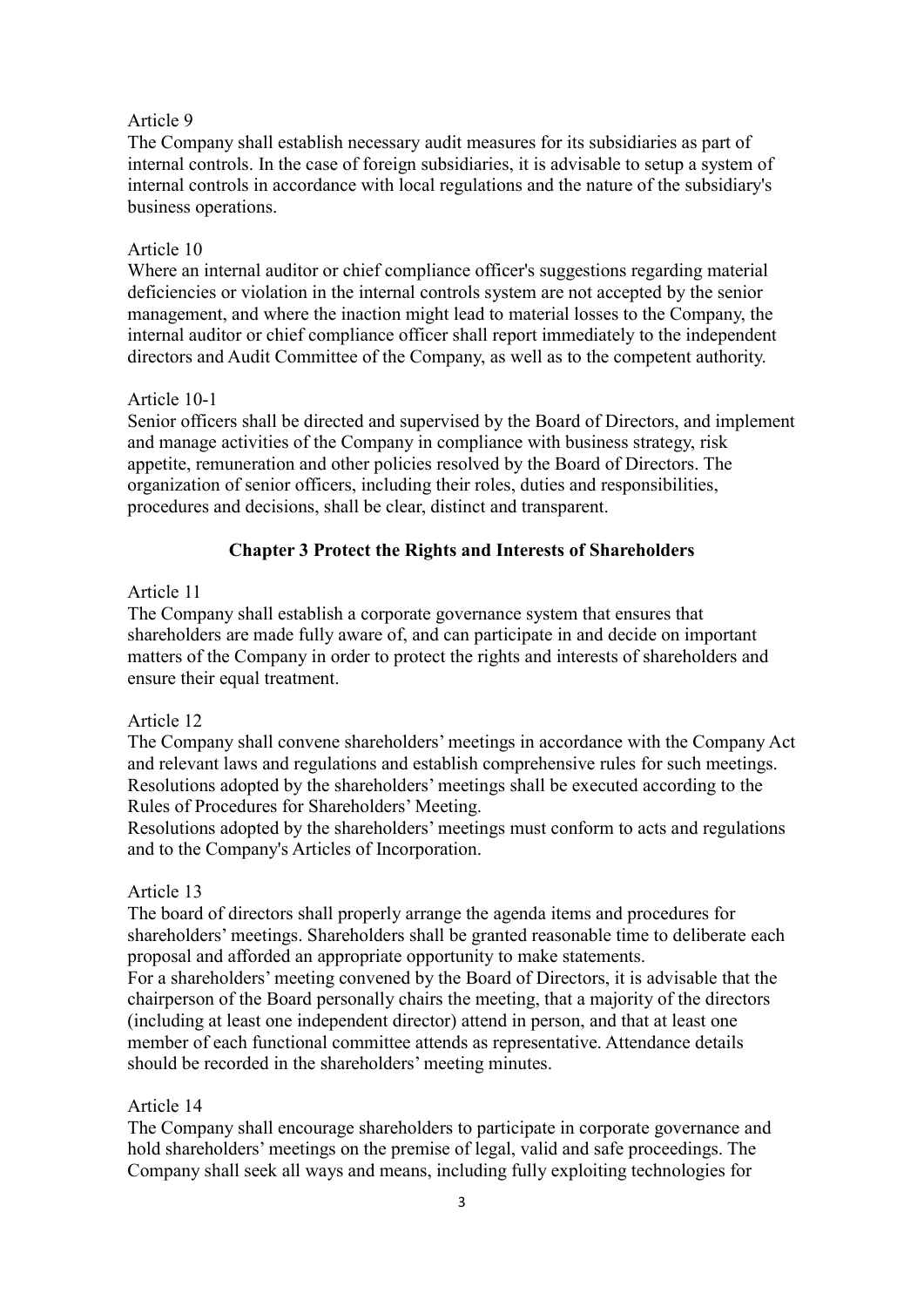The Company shall establish necessary audit measures for its subsidiaries as part of internal controls. In the case of foreign subsidiaries, it is advisable to setup a system of internal controls in accordance with local regulations and the nature of the subsidiary's business operations.

#### Article 10

Where an internal auditor or chief compliance officer's suggestions regarding material deficiencies or violation in the internal controls system are not accepted by the senior management, and where the inaction might lead to material losses to the Company, the internal auditor or chief compliance officer shall report immediately to the independent directors and Audit Committee of the Company, as well as to the competent authority.

### Article 10-1

Senior officers shall be directed and supervised by the Board of Directors, and implement and manage activities of the Company in compliance with business strategy, risk appetite, remuneration and other policies resolved by the Board of Directors. The organization of senior officers, including their roles, duties and responsibilities, procedures and decisions, shall be clear, distinct and transparent.

# **Chapter 3 Protect the Rights and Interests of Shareholders**

#### Article 11

The Company shall establish a corporate governance system that ensures that shareholders are made fully aware of, and can participate in and decide on important matters of the Company in order to protect the rights and interests of shareholders and ensure their equal treatment.

#### Article 12

The Company shall convene shareholders' meetings in accordance with the Company Act and relevant laws and regulations and establish comprehensive rules for such meetings. Resolutions adopted by the shareholders' meetings shall be executed according to the Rules of Procedures for Shareholders' Meeting.

Resolutions adopted by the shareholders' meetings must conform to acts and regulations and to the Company's Articles of Incorporation.

#### Article 13

The board of directors shall properly arrange the agenda items and procedures for shareholders' meetings. Shareholders shall be granted reasonable time to deliberate each proposal and afforded an appropriate opportunity to make statements.

For a shareholders' meeting convened by the Board of Directors, it is advisable that the chairperson of the Board personally chairs the meeting, that a majority of the directors (including at least one independent director) attend in person, and that at least one member of each functional committee attends as representative. Attendance details should be recorded in the shareholders' meeting minutes.

#### Article 14

The Company shall encourage shareholders to participate in corporate governance and hold shareholders' meetings on the premise of legal, valid and safe proceedings. The Company shall seek all ways and means, including fully exploiting technologies for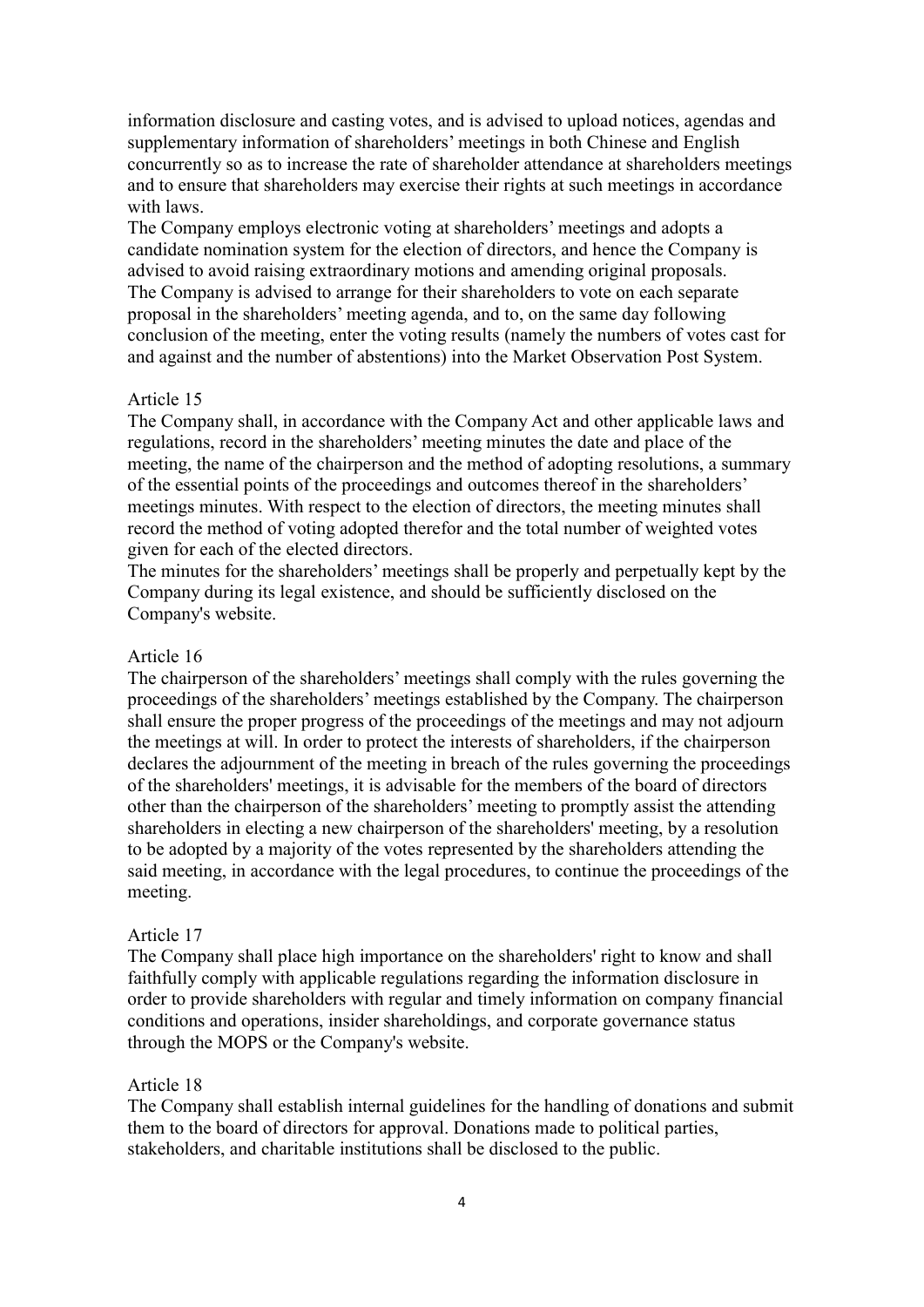information disclosure and casting votes, and is advised to upload notices, agendas and supplementary information of shareholders' meetings in both Chinese and English concurrently so as to increase the rate of shareholder attendance at shareholders meetings and to ensure that shareholders may exercise their rights at such meetings in accordance with laws.

The Company employs electronic voting at shareholders' meetings and adopts a candidate nomination system for the election of directors, and hence the Company is advised to avoid raising extraordinary motions and amending original proposals. The Company is advised to arrange for their shareholders to vote on each separate proposal in the shareholders' meeting agenda, and to, on the same day following conclusion of the meeting, enter the voting results (namely the numbers of votes cast for and against and the number of abstentions) into the Market Observation Post System.

### Article 15

The Company shall, in accordance with the Company Act and other applicable laws and regulations, record in the shareholders' meeting minutes the date and place of the meeting, the name of the chairperson and the method of adopting resolutions, a summary of the essential points of the proceedings and outcomes thereof in the shareholders' meetings minutes. With respect to the election of directors, the meeting minutes shall record the method of voting adopted therefor and the total number of weighted votes given for each of the elected directors.

The minutes for the shareholders' meetings shall be properly and perpetually kept by the Company during its legal existence, and should be sufficiently disclosed on the Company's website.

#### Article 16

The chairperson of the shareholders' meetings shall comply with the rules governing the proceedings of the shareholders' meetings established by the Company. The chairperson shall ensure the proper progress of the proceedings of the meetings and may not adjourn the meetings at will. In order to protect the interests of shareholders, if the chairperson declares the adjournment of the meeting in breach of the rules governing the proceedings of the shareholders' meetings, it is advisable for the members of the board of directors other than the chairperson of the shareholders' meeting to promptly assist the attending shareholders in electing a new chairperson of the shareholders' meeting, by a resolution to be adopted by a majority of the votes represented by the shareholders attending the said meeting, in accordance with the legal procedures, to continue the proceedings of the meeting.

#### Article 17

The Company shall place high importance on the shareholders' right to know and shall faithfully comply with applicable regulations regarding the information disclosure in order to provide shareholders with regular and timely information on company financial conditions and operations, insider shareholdings, and corporate governance status through the MOPS or the Company's website.

#### Article 18

The Company shall establish internal guidelines for the handling of donations and submit them to the board of directors for approval. Donations made to political parties, stakeholders, and charitable institutions shall be disclosed to the public.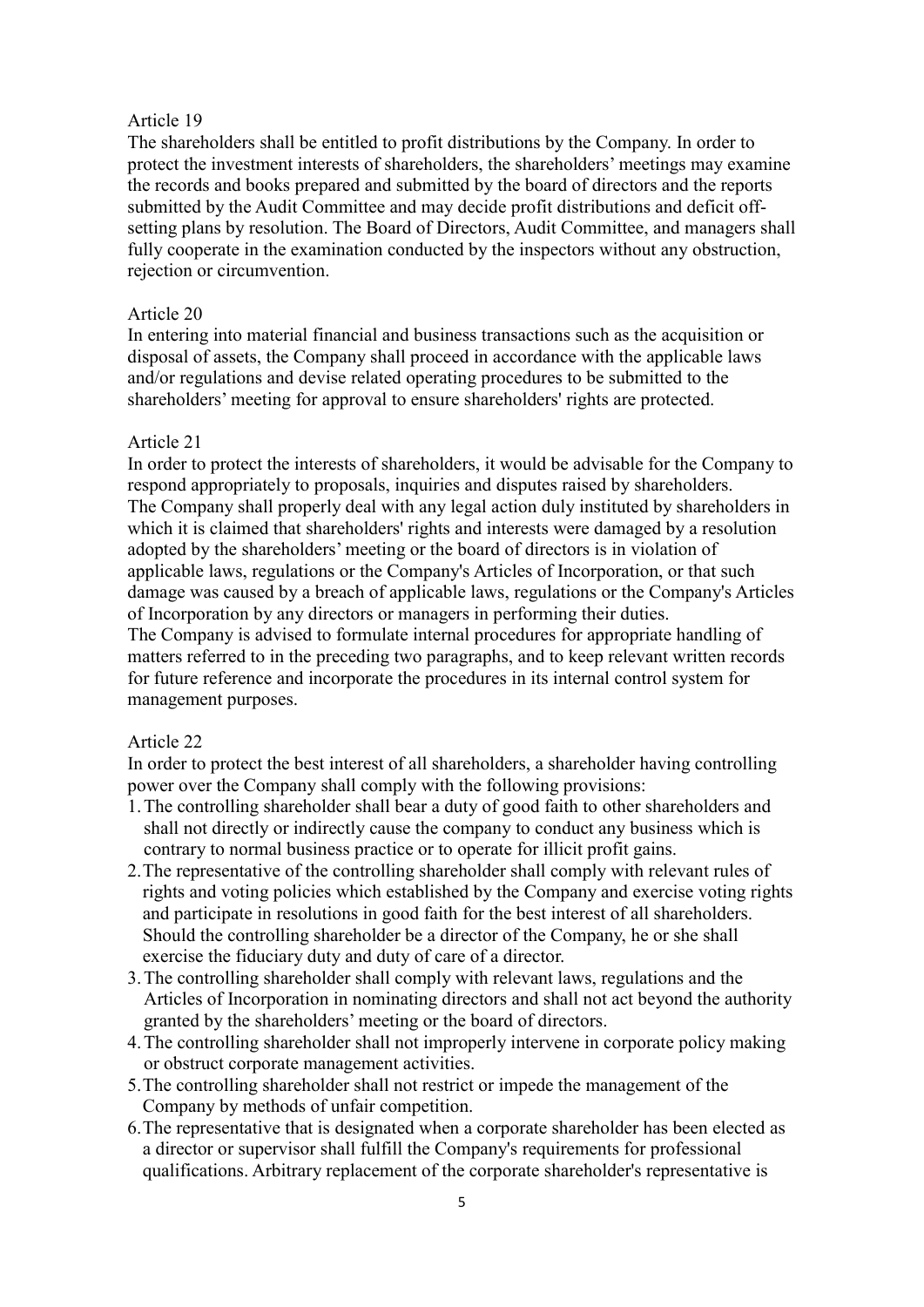The shareholders shall be entitled to profit distributions by the Company. In order to protect the investment interests of shareholders, the shareholders' meetings may examine the records and books prepared and submitted by the board of directors and the reports submitted by the Audit Committee and may decide profit distributions and deficit offsetting plans by resolution. The Board of Directors, Audit Committee, and managers shall fully cooperate in the examination conducted by the inspectors without any obstruction, rejection or circumvention.

#### Article 20

In entering into material financial and business transactions such as the acquisition or disposal of assets, the Company shall proceed in accordance with the applicable laws and/or regulations and devise related operating procedures to be submitted to the shareholders' meeting for approval to ensure shareholders' rights are protected.

#### Article 21

In order to protect the interests of shareholders, it would be advisable for the Company to respond appropriately to proposals, inquiries and disputes raised by shareholders. The Company shall properly deal with any legal action duly instituted by shareholders in which it is claimed that shareholders' rights and interests were damaged by a resolution adopted by the shareholders' meeting or the board of directors is in violation of applicable laws, regulations or the Company's Articles of Incorporation, or that such damage was caused by a breach of applicable laws, regulations or the Company's Articles of Incorporation by any directors or managers in performing their duties. The Company is advised to formulate internal procedures for appropriate handling of

matters referred to in the preceding two paragraphs, and to keep relevant written records for future reference and incorporate the procedures in its internal control system for management purposes.

#### Article 22

In order to protect the best interest of all shareholders, a shareholder having controlling power over the Company shall comply with the following provisions:

- 1.The controlling shareholder shall bear a duty of good faith to other shareholders and shall not directly or indirectly cause the company to conduct any business which is contrary to normal business practice or to operate for illicit profit gains.
- 2.The representative of the controlling shareholder shall comply with relevant rules of rights and voting policies which established by the Company and exercise voting rights and participate in resolutions in good faith for the best interest of all shareholders. Should the controlling shareholder be a director of the Company, he or she shall exercise the fiduciary duty and duty of care of a director.
- 3.The controlling shareholder shall comply with relevant laws, regulations and the Articles of Incorporation in nominating directors and shall not act beyond the authority granted by the shareholders' meeting or the board of directors.
- 4.The controlling shareholder shall not improperly intervene in corporate policy making or obstruct corporate management activities.
- 5.The controlling shareholder shall not restrict or impede the management of the Company by methods of unfair competition.
- 6.The representative that is designated when a corporate shareholder has been elected as a director or supervisor shall fulfill the Company's requirements for professional qualifications. Arbitrary replacement of the corporate shareholder's representative is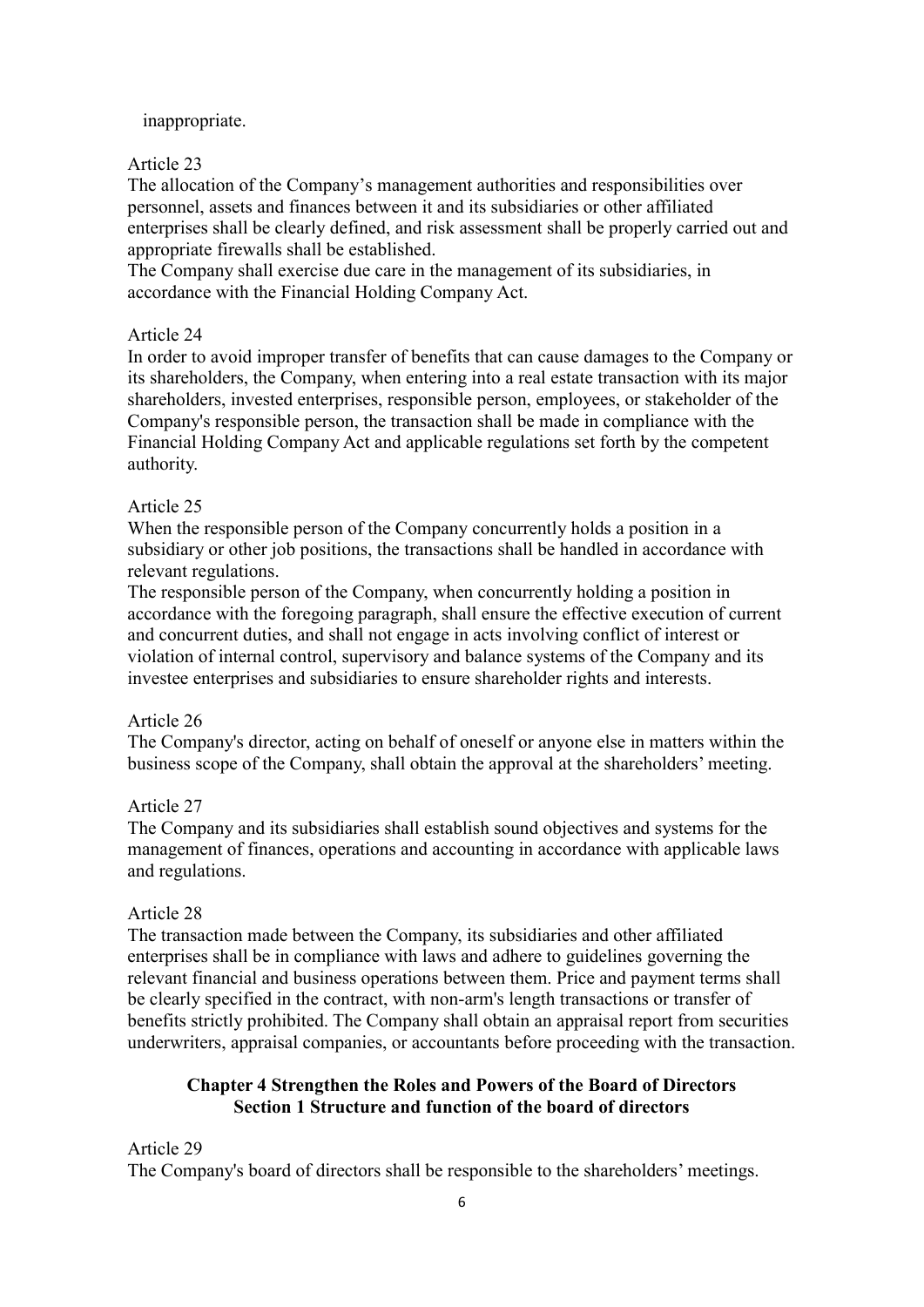## inappropriate.

### Article 23

The allocation of the Company's management authorities and responsibilities over personnel, assets and finances between it and its subsidiaries or other affiliated enterprises shall be clearly defined, and risk assessment shall be properly carried out and appropriate firewalls shall be established.

The Company shall exercise due care in the management of its subsidiaries, in accordance with the Financial Holding Company Act.

#### Article 24

In order to avoid improper transfer of benefits that can cause damages to the Company or its shareholders, the Company, when entering into a real estate transaction with its major shareholders, invested enterprises, responsible person, employees, or stakeholder of the Company's responsible person, the transaction shall be made in compliance with the Financial Holding Company Act and applicable regulations set forth by the competent authority.

#### Article 25

When the responsible person of the Company concurrently holds a position in a subsidiary or other job positions, the transactions shall be handled in accordance with relevant regulations.

The responsible person of the Company, when concurrently holding a position in accordance with the foregoing paragraph, shall ensure the effective execution of current and concurrent duties, and shall not engage in acts involving conflict of interest or violation of internal control, supervisory and balance systems of the Company and its investee enterprises and subsidiaries to ensure shareholder rights and interests.

#### Article 26

The Company's director, acting on behalf of oneself or anyone else in matters within the business scope of the Company, shall obtain the approval at the shareholders' meeting.

## Article 27

The Company and its subsidiaries shall establish sound objectives and systems for the management of finances, operations and accounting in accordance with applicable laws and regulations.

#### Article 28

The transaction made between the Company, its subsidiaries and other affiliated enterprises shall be in compliance with laws and adhere to guidelines governing the relevant financial and business operations between them. Price and payment terms shall be clearly specified in the contract, with non-arm's length transactions or transfer of benefits strictly prohibited. The Company shall obtain an appraisal report from securities underwriters, appraisal companies, or accountants before proceeding with the transaction.

# **Chapter 4 Strengthen the Roles and Powers of the Board of Directors Section 1 Structure and function of the board of directors**

Article 29 The Company's board of directors shall be responsible to the shareholders' meetings.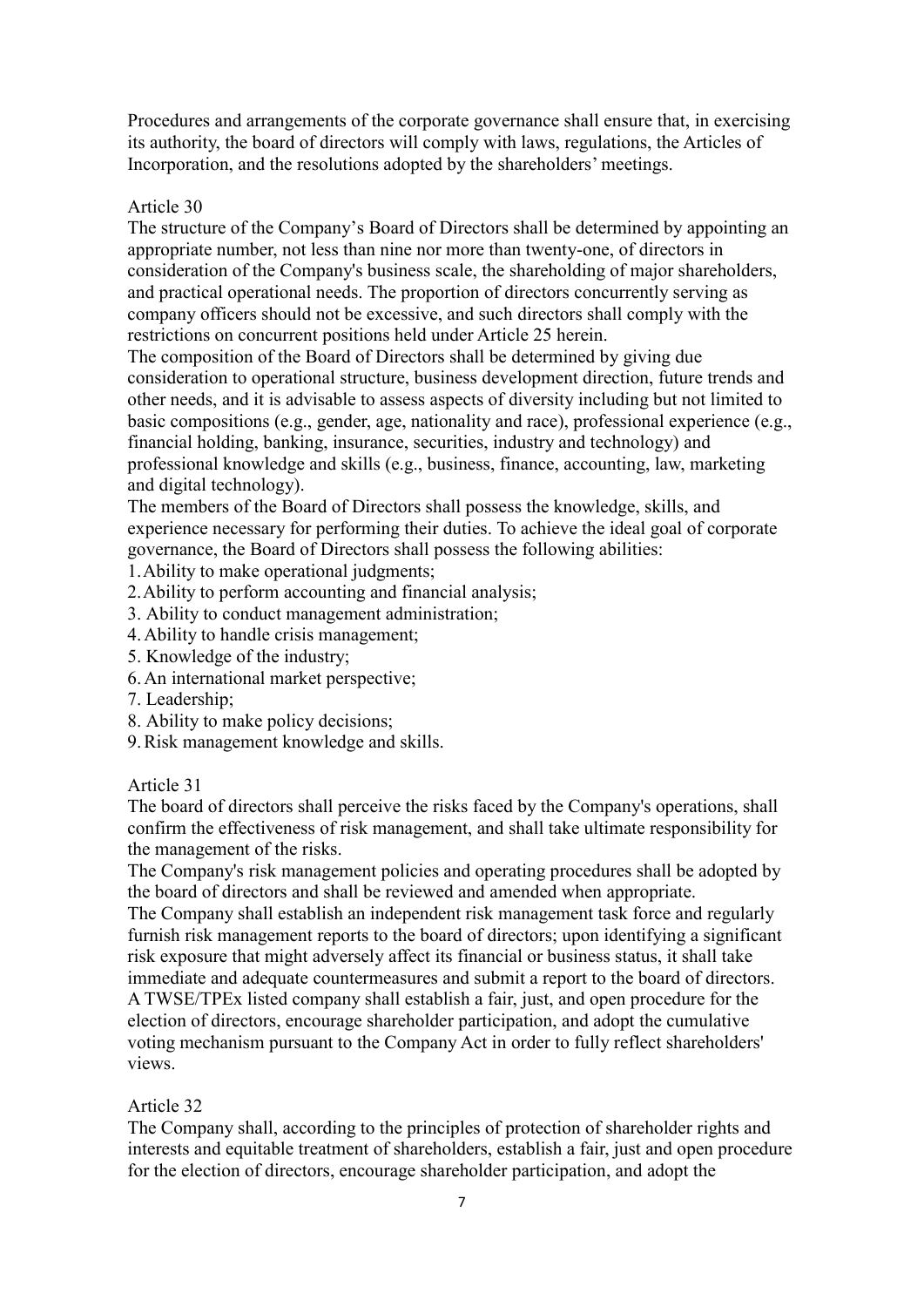Procedures and arrangements of the corporate governance shall ensure that, in exercising its authority, the board of directors will comply with laws, regulations, the Articles of Incorporation, and the resolutions adopted by the shareholders' meetings.

### Article 30

The structure of the Company's Board of Directors shall be determined by appointing an appropriate number, not less than nine nor more than twenty-one, of directors in consideration of the Company's business scale, the shareholding of major shareholders, and practical operational needs. The proportion of directors concurrently serving as company officers should not be excessive, and such directors shall comply with the restrictions on concurrent positions held under Article 25 herein.

The composition of the Board of Directors shall be determined by giving due consideration to operational structure, business development direction, future trends and other needs, and it is advisable to assess aspects of diversity including but not limited to basic compositions (e.g., gender, age, nationality and race), professional experience (e.g., financial holding, banking, insurance, securities, industry and technology) and professional knowledge and skills (e.g., business, finance, accounting, law, marketing and digital technology).

The members of the Board of Directors shall possess the knowledge, skills, and experience necessary for performing their duties. To achieve the ideal goal of corporate governance, the Board of Directors shall possess the following abilities:

1.Ability to make operational judgments;

- 2.Ability to perform accounting and financial analysis;
- 3. Ability to conduct management administration;
- 4.Ability to handle crisis management;
- 5. Knowledge of the industry;
- 6.An international market perspective;
- 7. Leadership;
- 8. Ability to make policy decisions;
- 9.Risk management knowledge and skills.

#### Article 31

The board of directors shall perceive the risks faced by the Company's operations, shall confirm the effectiveness of risk management, and shall take ultimate responsibility for the management of the risks.

The Company's risk management policies and operating procedures shall be adopted by the board of directors and shall be reviewed and amended when appropriate.

The Company shall establish an independent risk management task force and regularly furnish risk management reports to the board of directors; upon identifying a significant risk exposure that might adversely affect its financial or business status, it shall take immediate and adequate countermeasures and submit a report to the board of directors. A TWSE/TPEx listed company shall establish a fair, just, and open procedure for the election of directors, encourage shareholder participation, and adopt the cumulative voting mechanism pursuant to the Company Act in order to fully reflect shareholders' views.

## Article 32

The Company shall, according to the principles of protection of shareholder rights and interests and equitable treatment of shareholders, establish a fair, just and open procedure for the election of directors, encourage shareholder participation, and adopt the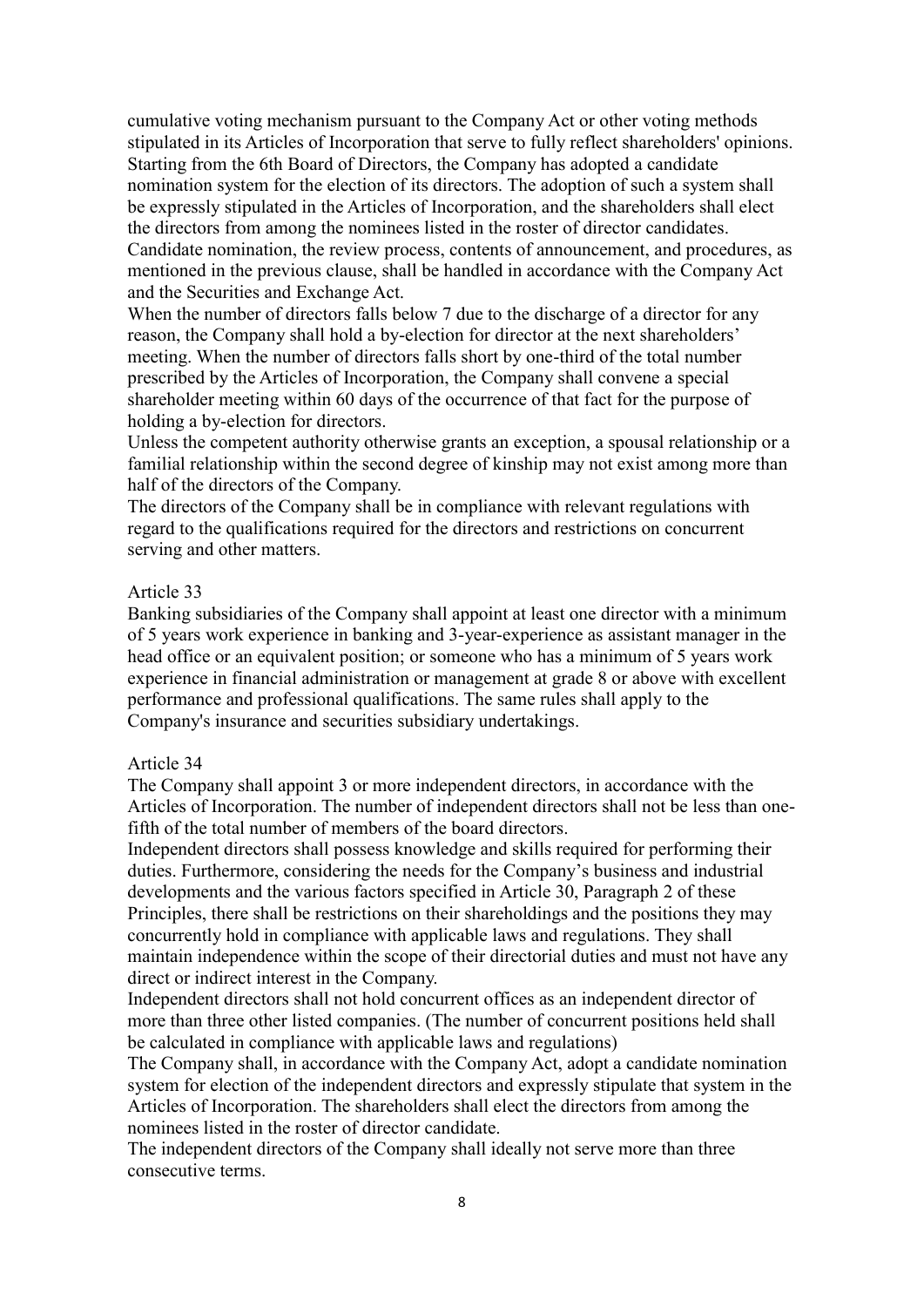cumulative voting mechanism pursuant to the Company Act or other voting methods stipulated in its Articles of Incorporation that serve to fully reflect shareholders' opinions. Starting from the 6th Board of Directors, the Company has adopted a candidate nomination system for the election of its directors. The adoption of such a system shall be expressly stipulated in the Articles of Incorporation, and the shareholders shall elect the directors from among the nominees listed in the roster of director candidates. Candidate nomination, the review process, contents of announcement, and procedures, as mentioned in the previous clause, shall be handled in accordance with the Company Act and the Securities and Exchange Act.

When the number of directors falls below 7 due to the discharge of a director for any reason, the Company shall hold a by-election for director at the next shareholders' meeting. When the number of directors falls short by one-third of the total number prescribed by the Articles of Incorporation, the Company shall convene a special shareholder meeting within 60 days of the occurrence of that fact for the purpose of holding a by-election for directors.

Unless the competent authority otherwise grants an exception, a spousal relationship or a familial relationship within the second degree of kinship may not exist among more than half of the directors of the Company.

The directors of the Company shall be in compliance with relevant regulations with regard to the qualifications required for the directors and restrictions on concurrent serving and other matters.

#### Article 33

Banking subsidiaries of the Company shall appoint at least one director with a minimum of 5 years work experience in banking and 3-year-experience as assistant manager in the head office or an equivalent position; or someone who has a minimum of 5 years work experience in financial administration or management at grade 8 or above with excellent performance and professional qualifications. The same rules shall apply to the Company's insurance and securities subsidiary undertakings.

#### Article 34

The Company shall appoint 3 or more independent directors, in accordance with the Articles of Incorporation. The number of independent directors shall not be less than onefifth of the total number of members of the board directors.

Independent directors shall possess knowledge and skills required for performing their duties. Furthermore, considering the needs for the Company's business and industrial developments and the various factors specified in Article 30, Paragraph 2 of these Principles, there shall be restrictions on their shareholdings and the positions they may concurrently hold in compliance with applicable laws and regulations. They shall maintain independence within the scope of their directorial duties and must not have any direct or indirect interest in the Company.

Independent directors shall not hold concurrent offices as an independent director of more than three other listed companies. (The number of concurrent positions held shall be calculated in compliance with applicable laws and regulations)

The Company shall, in accordance with the Company Act, adopt a candidate nomination system for election of the independent directors and expressly stipulate that system in the Articles of Incorporation. The shareholders shall elect the directors from among the nominees listed in the roster of director candidate.

The independent directors of the Company shall ideally not serve more than three consecutive terms.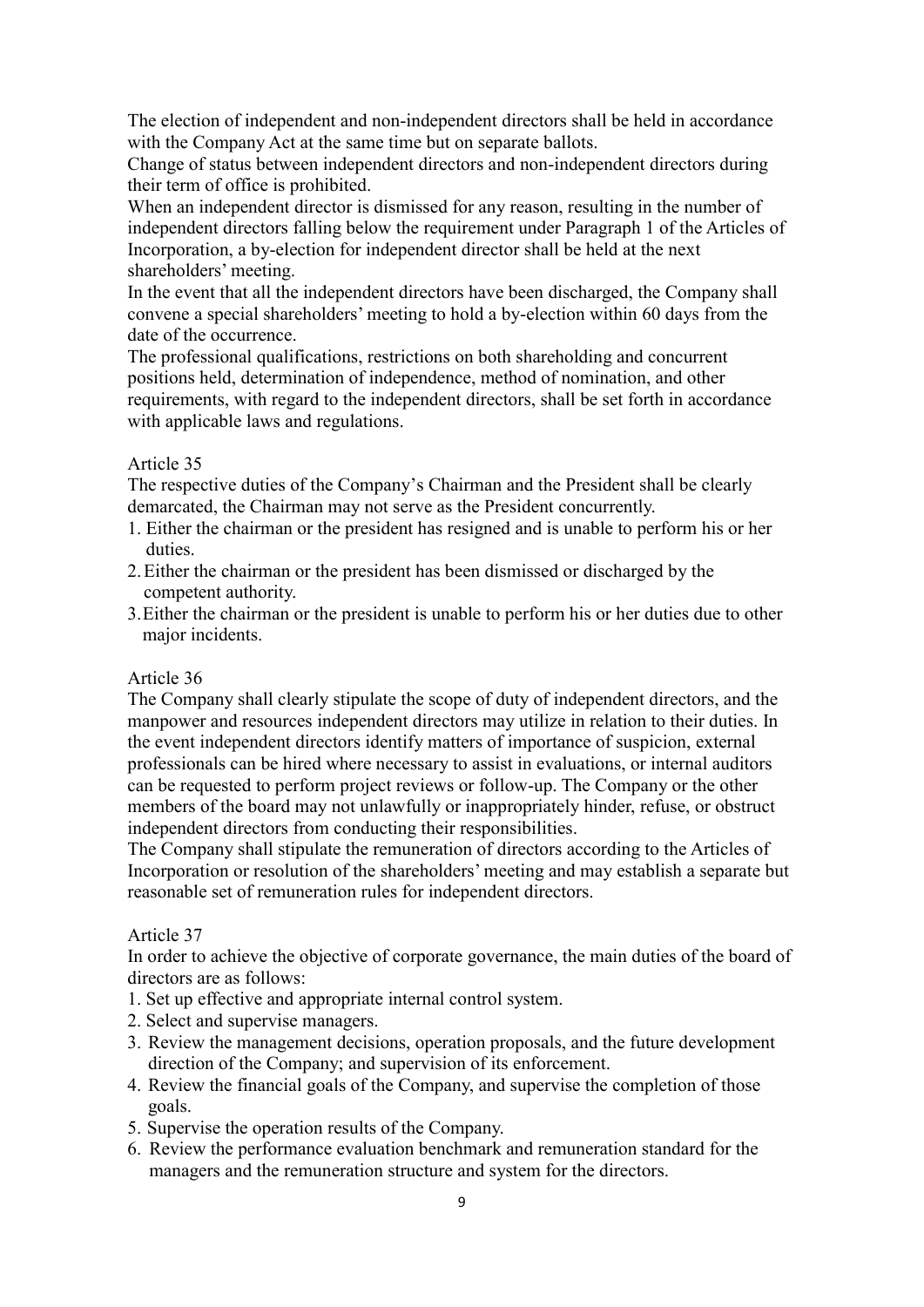The election of independent and non-independent directors shall be held in accordance with the Company Act at the same time but on separate ballots.

Change of status between independent directors and non-independent directors during their term of office is prohibited.

When an independent director is dismissed for any reason, resulting in the number of independent directors falling below the requirement under Paragraph 1 of the Articles of Incorporation, a by-election for independent director shall be held at the next shareholders' meeting.

In the event that all the independent directors have been discharged, the Company shall convene a special shareholders' meeting to hold a by-election within 60 days from the date of the occurrence.

The professional qualifications, restrictions on both shareholding and concurrent positions held, determination of independence, method of nomination, and other requirements, with regard to the independent directors, shall be set forth in accordance with applicable laws and regulations.

# Article 35

The respective duties of the Company's Chairman and the President shall be clearly demarcated, the Chairman may not serve as the President concurrently.

- 1. Either the chairman or the president has resigned and is unable to perform his or her duties.
- 2.Either the chairman or the president has been dismissed or discharged by the competent authority.
- 3.Either the chairman or the president is unable to perform his or her duties due to other major incidents.

## Article 36

The Company shall clearly stipulate the scope of duty of independent directors, and the manpower and resources independent directors may utilize in relation to their duties. In the event independent directors identify matters of importance of suspicion, external professionals can be hired where necessary to assist in evaluations, or internal auditors can be requested to perform project reviews or follow-up. The Company or the other members of the board may not unlawfully or inappropriately hinder, refuse, or obstruct independent directors from conducting their responsibilities.

The Company shall stipulate the remuneration of directors according to the Articles of Incorporation or resolution of the shareholders' meeting and may establish a separate but reasonable set of remuneration rules for independent directors.

## Article 37

In order to achieve the objective of corporate governance, the main duties of the board of directors are as follows:

- 1. Set up effective and appropriate internal control system.
- 2. Select and supervise managers.
- 3. Review the management decisions, operation proposals, and the future development direction of the Company; and supervision of its enforcement.
- 4. Review the financial goals of the Company, and supervise the completion of those goals.
- 5. Supervise the operation results of the Company.
- 6. Review the performance evaluation benchmark and remuneration standard for the managers and the remuneration structure and system for the directors.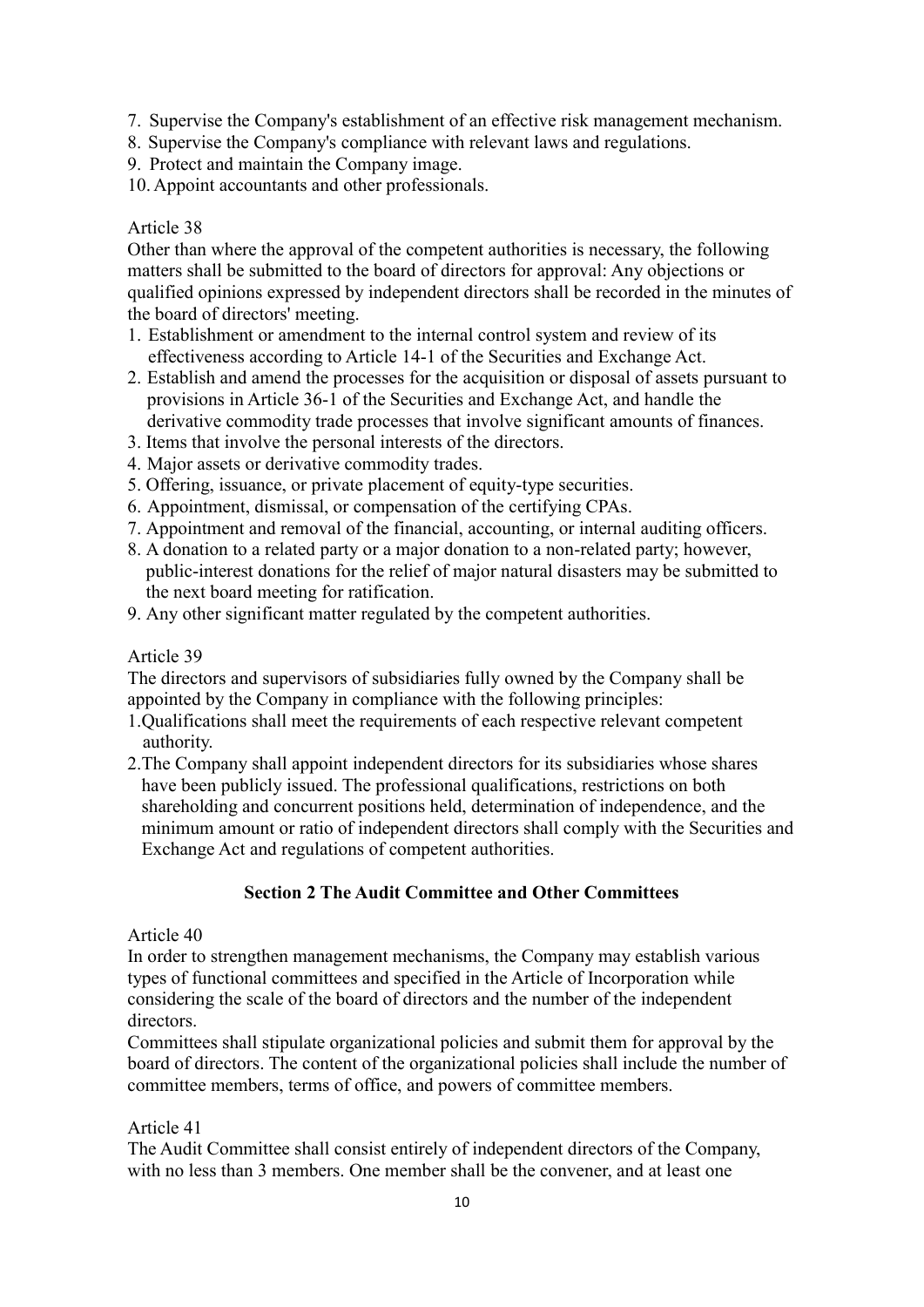- 7. Supervise the Company's establishment of an effective risk management mechanism.
- 8. Supervise the Company's compliance with relevant laws and regulations.
- 9. Protect and maintain the Company image.
- 10. Appoint accountants and other professionals.

Other than where the approval of the competent authorities is necessary, the following matters shall be submitted to the board of directors for approval: Any objections or qualified opinions expressed by independent directors shall be recorded in the minutes of the board of directors' meeting.

- 1. Establishment or amendment to the internal control system and review of its effectiveness according to Article 14-1 of the Securities and Exchange Act.
- 2. Establish and amend the processes for the acquisition or disposal of assets pursuant to provisions in Article 36-1 of the Securities and Exchange Act, and handle the derivative commodity trade processes that involve significant amounts of finances.
- 3. Items that involve the personal interests of the directors.
- 4. Major assets or derivative commodity trades.
- 5. Offering, issuance, or private placement of equity-type securities.
- 6. Appointment, dismissal, or compensation of the certifying CPAs.
- 7. Appointment and removal of the financial, accounting, or internal auditing officers.
- 8. A donation to a related party or a major donation to a non-related party; however, public-interest donations for the relief of major natural disasters may be submitted to the next board meeting for ratification.
- 9. Any other significant matter regulated by the competent authorities.

## Article 39

The directors and supervisors of subsidiaries fully owned by the Company shall be appointed by the Company in compliance with the following principles:

- 1.Qualifications shall meet the requirements of each respective relevant competent authority.
- 2.The Company shall appoint independent directors for its subsidiaries whose shares have been publicly issued. The professional qualifications, restrictions on both shareholding and concurrent positions held, determination of independence, and the minimum amount or ratio of independent directors shall comply with the Securities and Exchange Act and regulations of competent authorities.

# **Section 2 The Audit Committee and Other Committees**

## Article 40

In order to strengthen management mechanisms, the Company may establish various types of functional committees and specified in the Article of Incorporation while considering the scale of the board of directors and the number of the independent directors.

Committees shall stipulate organizational policies and submit them for approval by the board of directors. The content of the organizational policies shall include the number of committee members, terms of office, and powers of committee members.

## Article 41

The Audit Committee shall consist entirely of independent directors of the Company, with no less than 3 members. One member shall be the convener, and at least one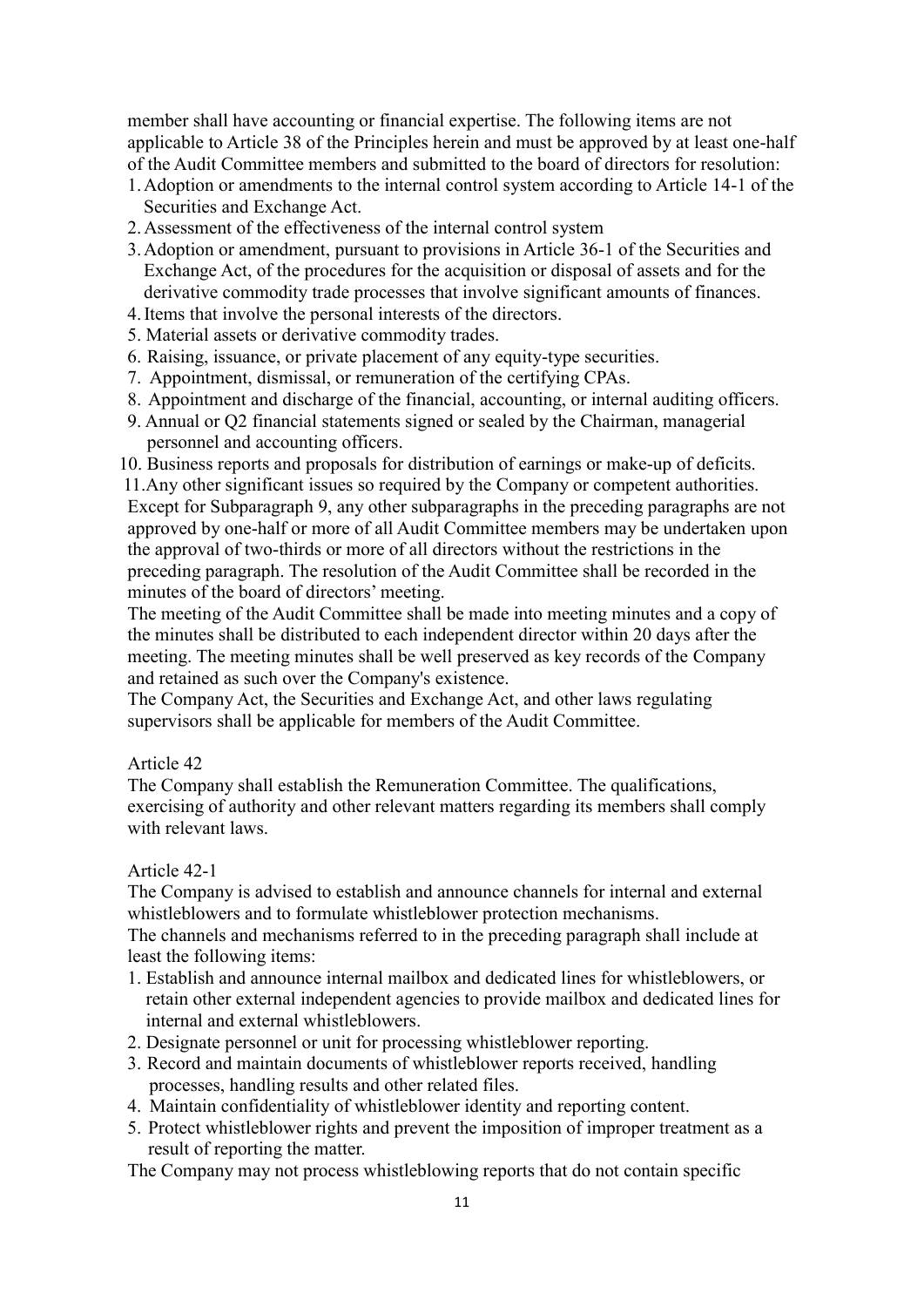member shall have accounting or financial expertise. The following items are not applicable to Article 38 of the Principles herein and must be approved by at least one-half of the Audit Committee members and submitted to the board of directors for resolution:

- 1.Adoption or amendments to the internal control system according to Article 14-1 of the Securities and Exchange Act.
- 2.Assessment of the effectiveness of the internal control system
- 3.Adoption or amendment, pursuant to provisions in Article 36-1 of the Securities and Exchange Act, of the procedures for the acquisition or disposal of assets and for the derivative commodity trade processes that involve significant amounts of finances.
- 4.Items that involve the personal interests of the directors.
- 5. Material assets or derivative commodity trades.
- 6. Raising, issuance, or private placement of any equity-type securities.
- 7. Appointment, dismissal, or remuneration of the certifying CPAs.
- 8. Appointment and discharge of the financial, accounting, or internal auditing officers.
- 9. Annual or Q2 financial statements signed or sealed by the Chairman, managerial personnel and accounting officers.

10. Business reports and proposals for distribution of earnings or make-up of deficits.

11.Any other significant issues so required by the Company or competent authorities. Except for Subparagraph 9, any other subparagraphs in the preceding paragraphs are not approved by one-half or more of all Audit Committee members may be undertaken upon the approval of two-thirds or more of all directors without the restrictions in the preceding paragraph. The resolution of the Audit Committee shall be recorded in the minutes of the board of directors' meeting.

The meeting of the Audit Committee shall be made into meeting minutes and a copy of the minutes shall be distributed to each independent director within 20 days after the meeting. The meeting minutes shall be well preserved as key records of the Company and retained as such over the Company's existence.

The Company Act, the Securities and Exchange Act, and other laws regulating supervisors shall be applicable for members of the Audit Committee.

#### Article 42

The Company shall establish the Remuneration Committee. The qualifications, exercising of authority and other relevant matters regarding its members shall comply with relevant laws.

## Article 42-1

The Company is advised to establish and announce channels for internal and external whistleblowers and to formulate whistleblower protection mechanisms.

The channels and mechanisms referred to in the preceding paragraph shall include at least the following items:

- 1. Establish and announce internal mailbox and dedicated lines for whistleblowers, or retain other external independent agencies to provide mailbox and dedicated lines for internal and external whistleblowers.
- 2. Designate personnel or unit for processing whistleblower reporting.
- 3. Record and maintain documents of whistleblower reports received, handling processes, handling results and other related files.
- 4. Maintain confidentiality of whistleblower identity and reporting content.
- 5. Protect whistleblower rights and prevent the imposition of improper treatment as a result of reporting the matter.

The Company may not process whistleblowing reports that do not contain specific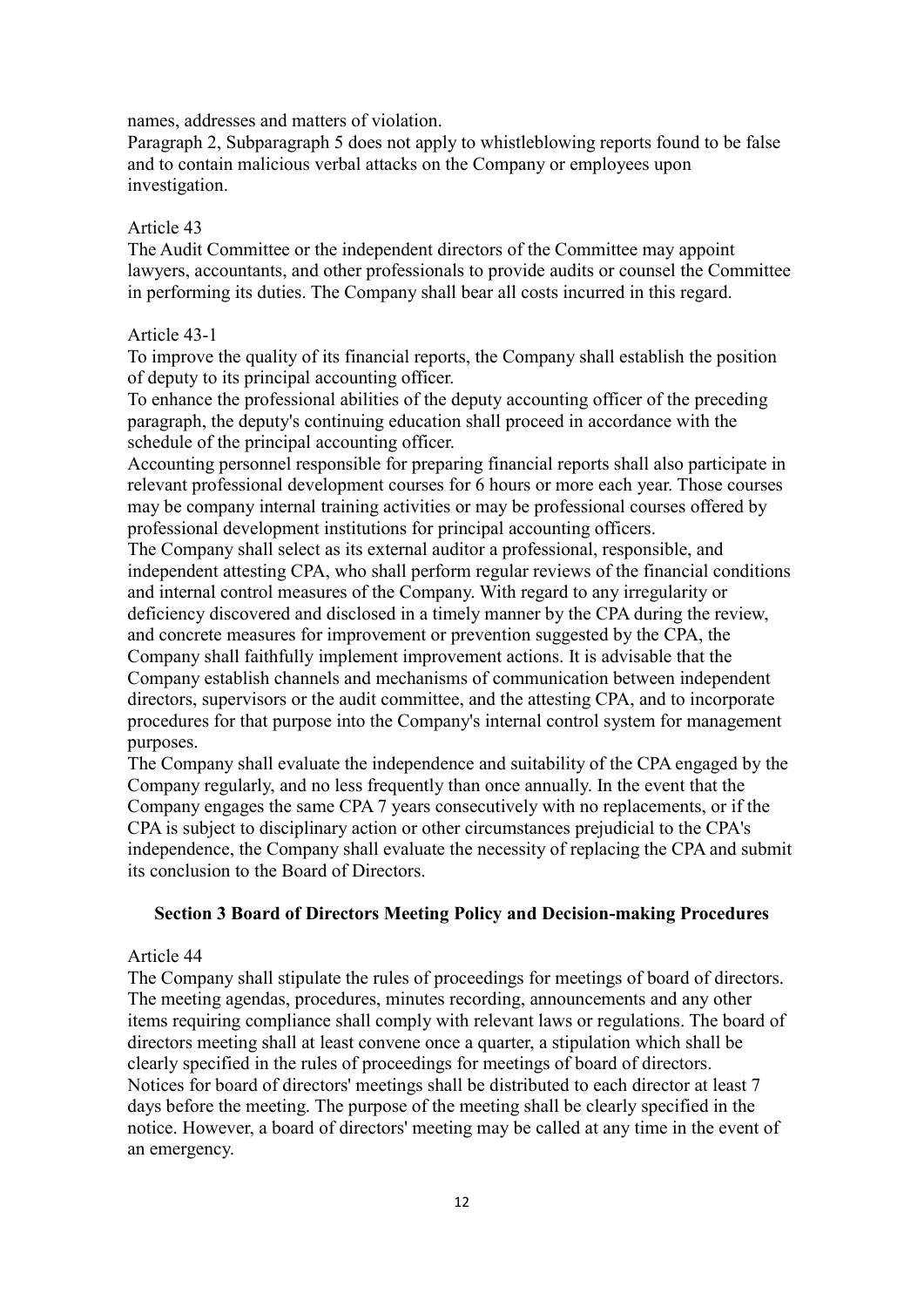names, addresses and matters of violation.

Paragraph 2, Subparagraph 5 does not apply to whistleblowing reports found to be false and to contain malicious verbal attacks on the Company or employees upon investigation.

#### Article 43

The Audit Committee or the independent directors of the Committee may appoint lawyers, accountants, and other professionals to provide audits or counsel the Committee in performing its duties. The Company shall bear all costs incurred in this regard.

## Article 43-1

To improve the quality of its financial reports, the Company shall establish the position of deputy to its principal accounting officer.

To enhance the professional abilities of the deputy accounting officer of the preceding paragraph, the deputy's continuing education shall proceed in accordance with the schedule of the principal accounting officer.

Accounting personnel responsible for preparing financial reports shall also participate in relevant professional development courses for 6 hours or more each year. Those courses may be company internal training activities or may be professional courses offered by professional development institutions for principal accounting officers.

The Company shall select as its external auditor a professional, responsible, and independent attesting CPA, who shall perform regular reviews of the financial conditions and internal control measures of the Company. With regard to any irregularity or deficiency discovered and disclosed in a timely manner by the CPA during the review, and concrete measures for improvement or prevention suggested by the CPA, the Company shall faithfully implement improvement actions. It is advisable that the Company establish channels and mechanisms of communication between independent directors, supervisors or the audit committee, and the attesting CPA, and to incorporate procedures for that purpose into the Company's internal control system for management purposes.

The Company shall evaluate the independence and suitability of the CPA engaged by the Company regularly, and no less frequently than once annually. In the event that the Company engages the same CPA 7 years consecutively with no replacements, or if the CPA is subject to disciplinary action or other circumstances prejudicial to the CPA's independence, the Company shall evaluate the necessity of replacing the CPA and submit its conclusion to the Board of Directors.

#### **Section 3 Board of Directors Meeting Policy and Decision-making Procedures**

#### Article 44

The Company shall stipulate the rules of proceedings for meetings of board of directors. The meeting agendas, procedures, minutes recording, announcements and any other items requiring compliance shall comply with relevant laws or regulations. The board of directors meeting shall at least convene once a quarter, a stipulation which shall be clearly specified in the rules of proceedings for meetings of board of directors. Notices for board of directors' meetings shall be distributed to each director at least 7 days before the meeting. The purpose of the meeting shall be clearly specified in the notice. However, a board of directors' meeting may be called at any time in the event of an emergency.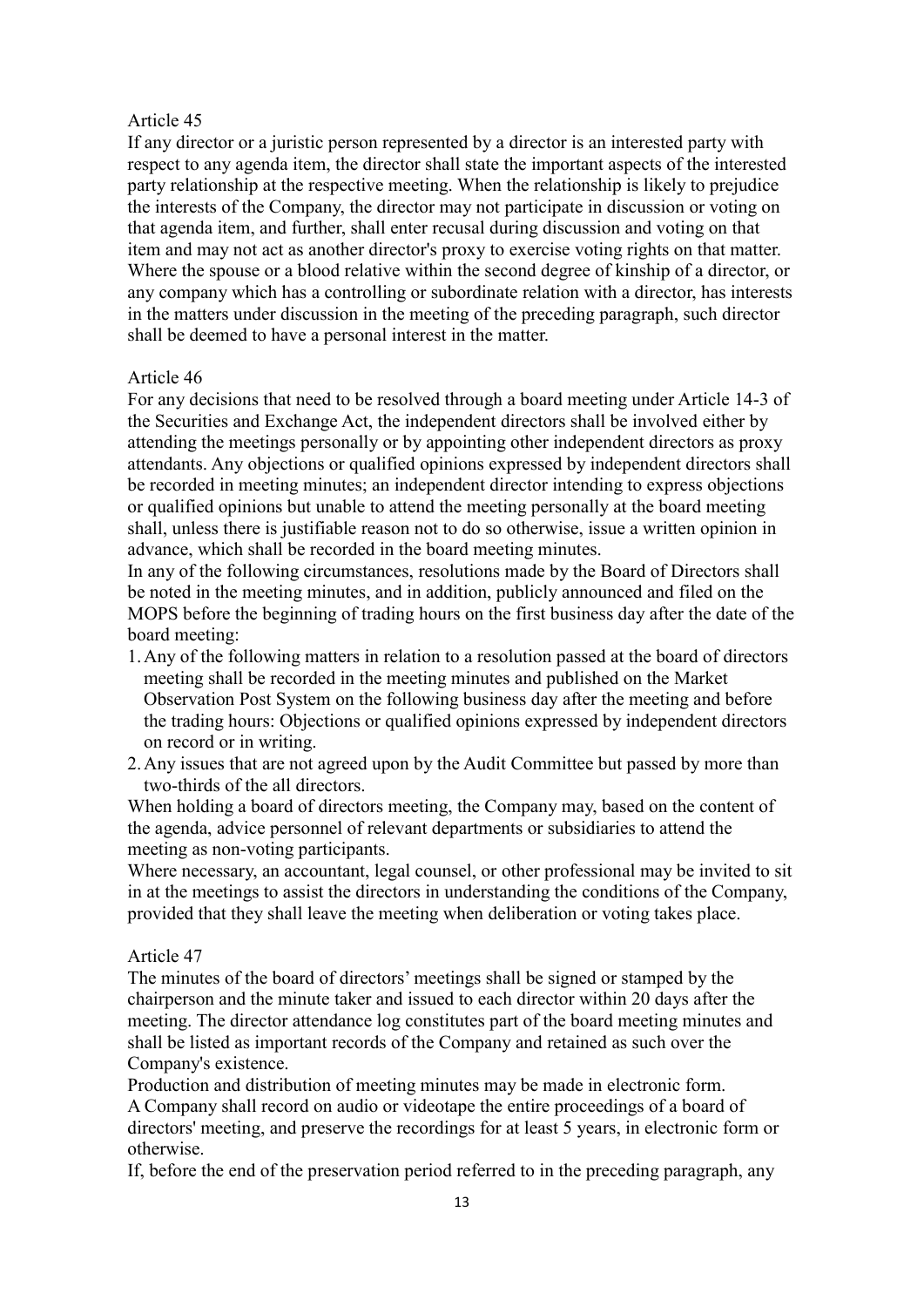If any director or a juristic person represented by a director is an interested party with respect to any agenda item, the director shall state the important aspects of the interested party relationship at the respective meeting. When the relationship is likely to prejudice the interests of the Company, the director may not participate in discussion or voting on that agenda item, and further, shall enter recusal during discussion and voting on that item and may not act as another director's proxy to exercise voting rights on that matter. Where the spouse or a blood relative within the second degree of kinship of a director, or any company which has a controlling or subordinate relation with a director, has interests in the matters under discussion in the meeting of the preceding paragraph, such director shall be deemed to have a personal interest in the matter.

#### Article 46

For any decisions that need to be resolved through a board meeting under Article 14-3 of the Securities and Exchange Act, the independent directors shall be involved either by attending the meetings personally or by appointing other independent directors as proxy attendants. Any objections or qualified opinions expressed by independent directors shall be recorded in meeting minutes; an independent director intending to express objections or qualified opinions but unable to attend the meeting personally at the board meeting shall, unless there is justifiable reason not to do so otherwise, issue a written opinion in advance, which shall be recorded in the board meeting minutes.

In any of the following circumstances, resolutions made by the Board of Directors shall be noted in the meeting minutes, and in addition, publicly announced and filed on the MOPS before the beginning of trading hours on the first business day after the date of the board meeting:

- 1.Any of the following matters in relation to a resolution passed at the board of directors meeting shall be recorded in the meeting minutes and published on the Market Observation Post System on the following business day after the meeting and before the trading hours: Objections or qualified opinions expressed by independent directors on record or in writing.
- 2.Any issues that are not agreed upon by the Audit Committee but passed by more than two-thirds of the all directors.

When holding a board of directors meeting, the Company may, based on the content of the agenda, advice personnel of relevant departments or subsidiaries to attend the meeting as non-voting participants.

Where necessary, an accountant, legal counsel, or other professional may be invited to sit in at the meetings to assist the directors in understanding the conditions of the Company, provided that they shall leave the meeting when deliberation or voting takes place.

#### Article 47

The minutes of the board of directors' meetings shall be signed or stamped by the chairperson and the minute taker and issued to each director within 20 days after the meeting. The director attendance log constitutes part of the board meeting minutes and shall be listed as important records of the Company and retained as such over the Company's existence.

Production and distribution of meeting minutes may be made in electronic form. A Company shall record on audio or videotape the entire proceedings of a board of directors' meeting, and preserve the recordings for at least 5 years, in electronic form or otherwise.

If, before the end of the preservation period referred to in the preceding paragraph, any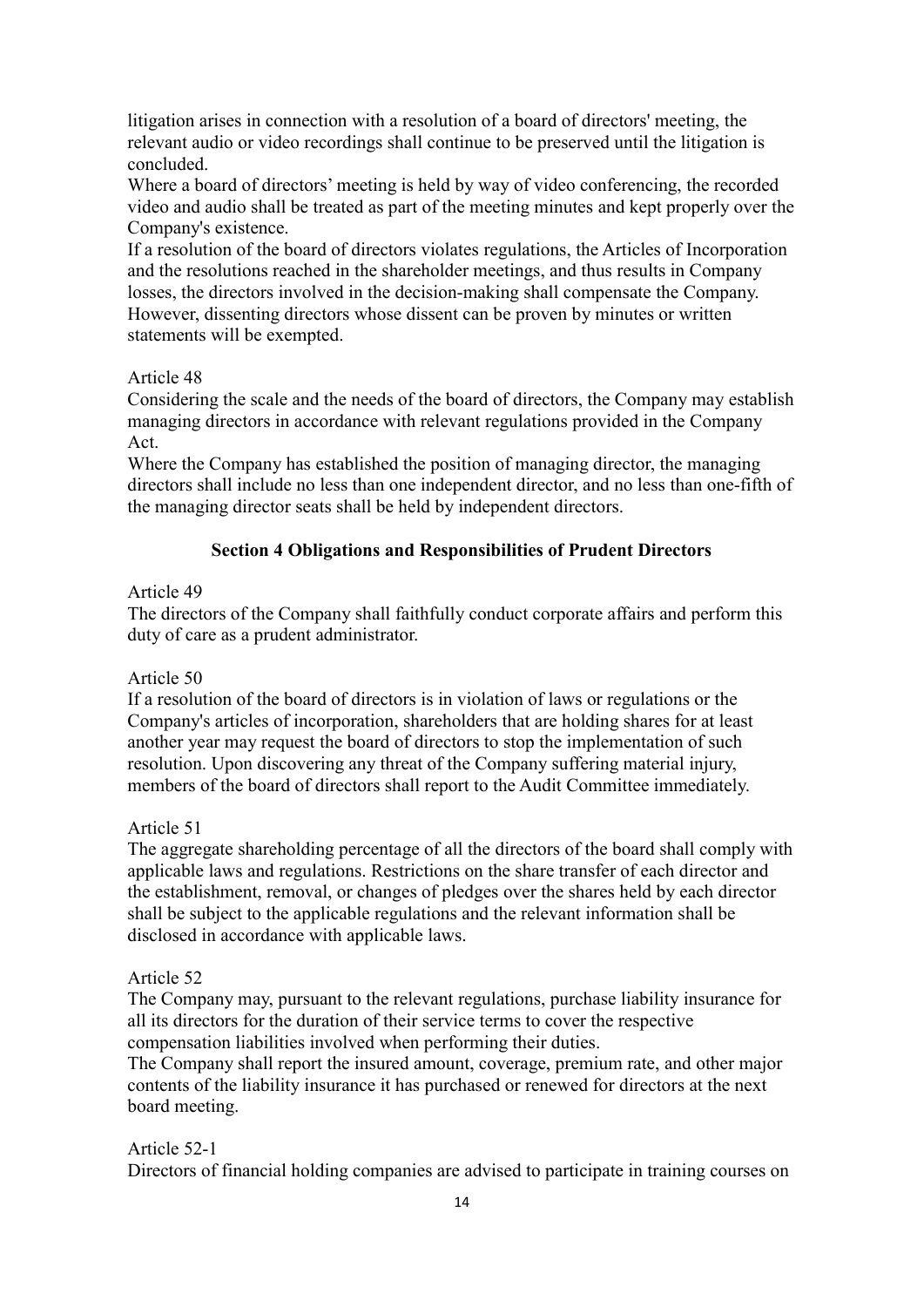litigation arises in connection with a resolution of a board of directors' meeting, the relevant audio or video recordings shall continue to be preserved until the litigation is concluded.

Where a board of directors' meeting is held by way of video conferencing, the recorded video and audio shall be treated as part of the meeting minutes and kept properly over the Company's existence.

If a resolution of the board of directors violates regulations, the Articles of Incorporation and the resolutions reached in the shareholder meetings, and thus results in Company losses, the directors involved in the decision-making shall compensate the Company. However, dissenting directors whose dissent can be proven by minutes or written statements will be exempted.

## Article 48

Considering the scale and the needs of the board of directors, the Company may establish managing directors in accordance with relevant regulations provided in the Company Act.

Where the Company has established the position of managing director, the managing directors shall include no less than one independent director, and no less than one-fifth of the managing director seats shall be held by independent directors.

# **Section 4 Obligations and Responsibilities of Prudent Directors**

## Article 49

The directors of the Company shall faithfully conduct corporate affairs and perform this duty of care as a prudent administrator.

## Article 50

If a resolution of the board of directors is in violation of laws or regulations or the Company's articles of incorporation, shareholders that are holding shares for at least another year may request the board of directors to stop the implementation of such resolution. Upon discovering any threat of the Company suffering material injury, members of the board of directors shall report to the Audit Committee immediately.

## Article 51

The aggregate shareholding percentage of all the directors of the board shall comply with applicable laws and regulations. Restrictions on the share transfer of each director and the establishment, removal, or changes of pledges over the shares held by each director shall be subject to the applicable regulations and the relevant information shall be disclosed in accordance with applicable laws.

## Article 52

The Company may, pursuant to the relevant regulations, purchase liability insurance for all its directors for the duration of their service terms to cover the respective compensation liabilities involved when performing their duties.

The Company shall report the insured amount, coverage, premium rate, and other major contents of the liability insurance it has purchased or renewed for directors at the next board meeting.

# Article 52-1

Directors of financial holding companies are advised to participate in training courses on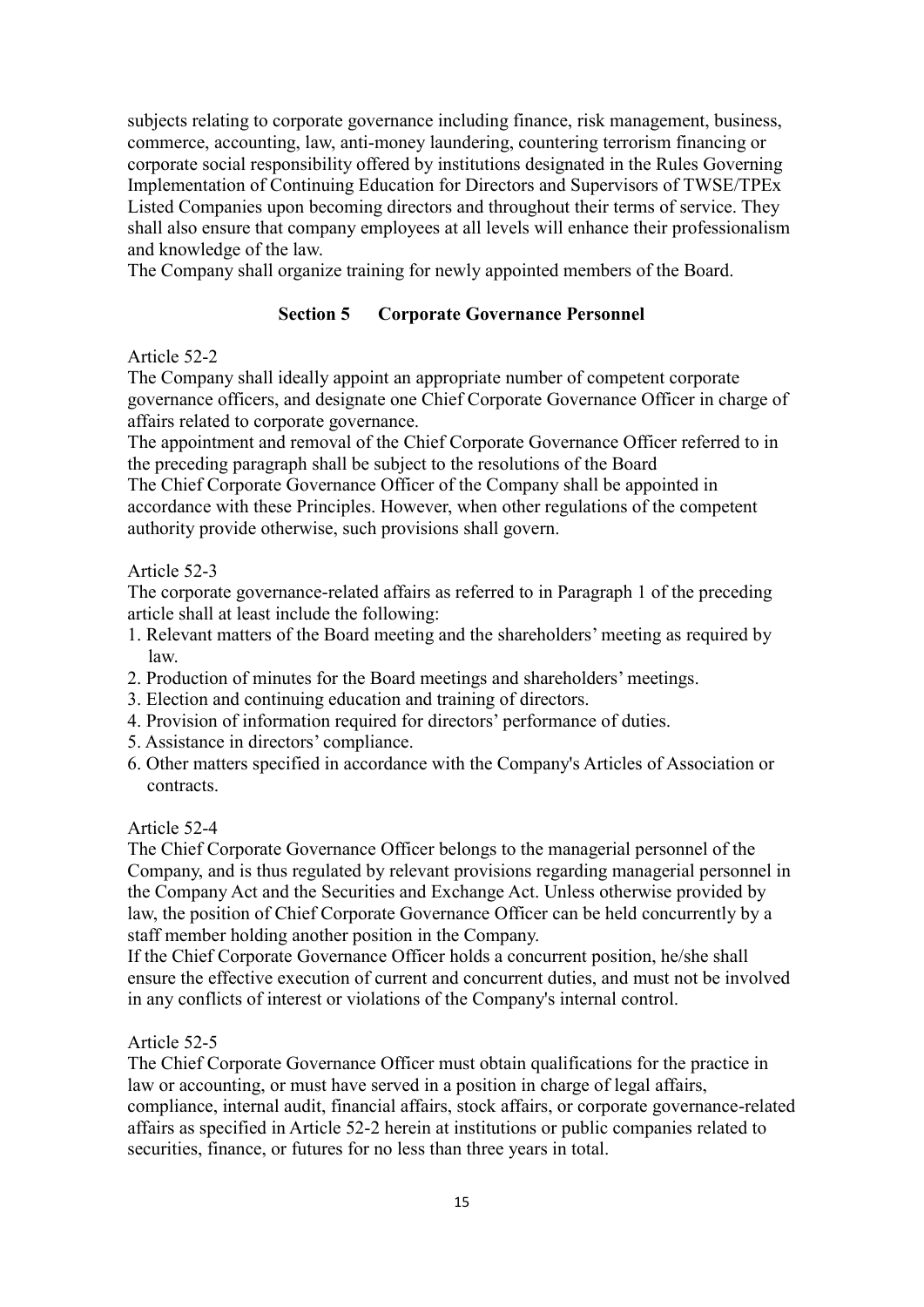subjects relating to corporate governance including finance, risk management, business, commerce, accounting, law, anti-money laundering, countering terrorism financing or corporate social responsibility offered by institutions designated in the Rules Governing Implementation of Continuing Education for Directors and Supervisors of TWSE/TPEx Listed Companies upon becoming directors and throughout their terms of service. They shall also ensure that company employees at all levels will enhance their professionalism and knowledge of the law.

The Company shall organize training for newly appointed members of the Board.

# **Section 5 Corporate Governance Personnel**

# Article 52-2

The Company shall ideally appoint an appropriate number of competent corporate governance officers, and designate one Chief Corporate Governance Officer in charge of affairs related to corporate governance.

The appointment and removal of the Chief Corporate Governance Officer referred to in the preceding paragraph shall be subject to the resolutions of the Board

The Chief Corporate Governance Officer of the Company shall be appointed in accordance with these Principles. However, when other regulations of the competent authority provide otherwise, such provisions shall govern.

# Article 52-3

The corporate governance-related affairs as referred to in Paragraph 1 of the preceding article shall at least include the following:

- 1. Relevant matters of the Board meeting and the shareholders' meeting as required by law.
- 2. Production of minutes for the Board meetings and shareholders' meetings.
- 3. Election and continuing education and training of directors.
- 4. Provision of information required for directors' performance of duties.
- 5. Assistance in directors' compliance.
- 6. Other matters specified in accordance with the Company's Articles of Association or contracts.

## Article 52-4

The Chief Corporate Governance Officer belongs to the managerial personnel of the Company, and is thus regulated by relevant provisions regarding managerial personnel in the Company Act and the Securities and Exchange Act. Unless otherwise provided by law, the position of Chief Corporate Governance Officer can be held concurrently by a staff member holding another position in the Company.

If the Chief Corporate Governance Officer holds a concurrent position, he/she shall ensure the effective execution of current and concurrent duties, and must not be involved in any conflicts of interest or violations of the Company's internal control.

## Article 52-5

The Chief Corporate Governance Officer must obtain qualifications for the practice in law or accounting, or must have served in a position in charge of legal affairs, compliance, internal audit, financial affairs, stock affairs, or corporate governance-related affairs as specified in Article 52-2 herein at institutions or public companies related to securities, finance, or futures for no less than three years in total.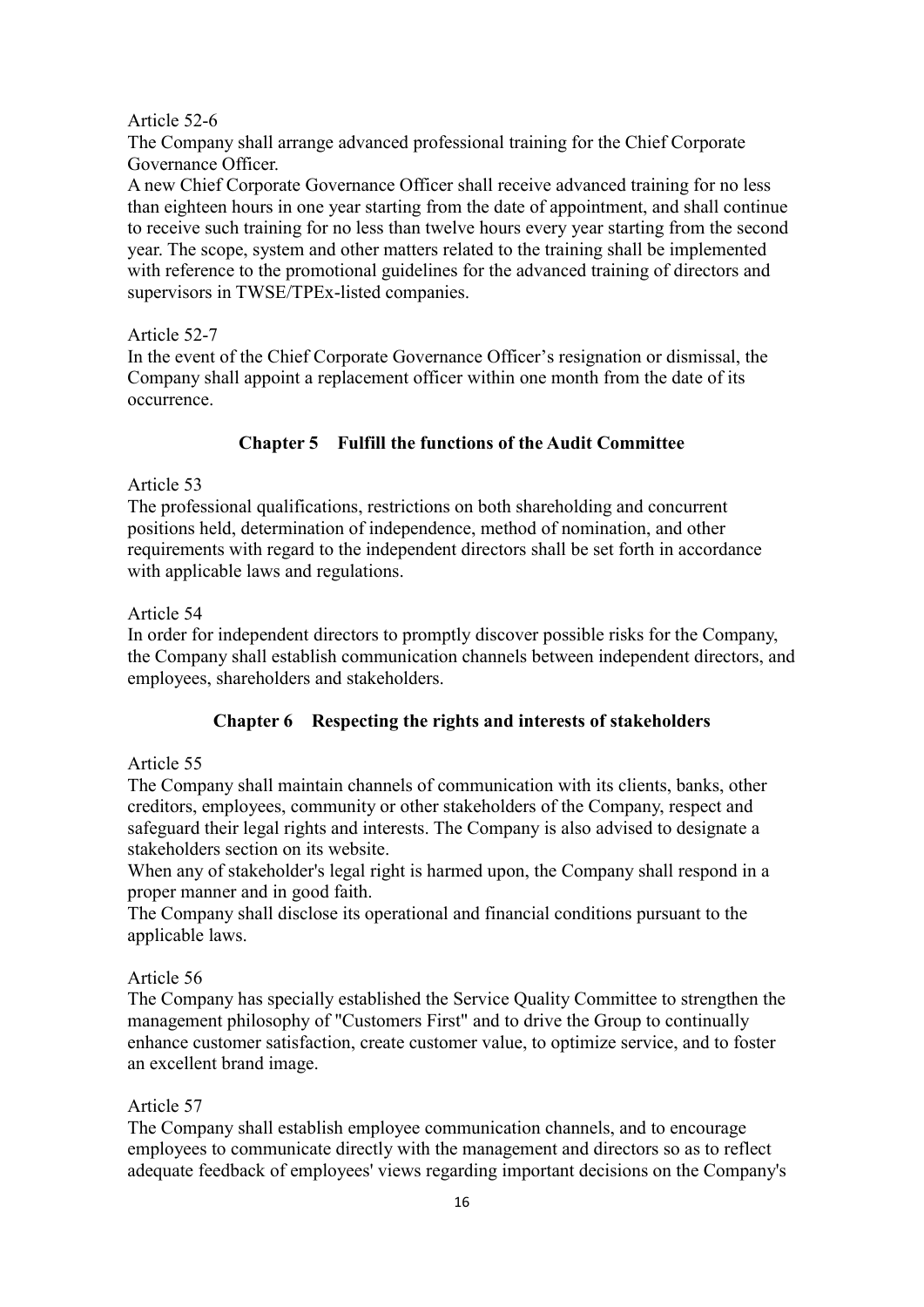### Article 52-6

The Company shall arrange advanced professional training for the Chief Corporate Governance Officer.

A new Chief Corporate Governance Officer shall receive advanced training for no less than eighteen hours in one year starting from the date of appointment, and shall continue to receive such training for no less than twelve hours every year starting from the second year. The scope, system and other matters related to the training shall be implemented with reference to the promotional guidelines for the advanced training of directors and supervisors in TWSE/TPEx-listed companies.

#### Article 52-7

In the event of the Chief Corporate Governance Officer's resignation or dismissal, the Company shall appoint a replacement officer within one month from the date of its occurrence.

# **Chapter 5 Fulfill the functions of the Audit Committee**

## Article 53

The professional qualifications, restrictions on both shareholding and concurrent positions held, determination of independence, method of nomination, and other requirements with regard to the independent directors shall be set forth in accordance with applicable laws and regulations.

## Article 54

In order for independent directors to promptly discover possible risks for the Company, the Company shall establish communication channels between independent directors, and employees, shareholders and stakeholders.

## **Chapter 6 Respecting the rights and interests of stakeholders**

## Article 55

The Company shall maintain channels of communication with its clients, banks, other creditors, employees, community or other stakeholders of the Company, respect and safeguard their legal rights and interests. The Company is also advised to designate a stakeholders section on its website.

When any of stakeholder's legal right is harmed upon, the Company shall respond in a proper manner and in good faith.

The Company shall disclose its operational and financial conditions pursuant to the applicable laws.

## Article 56

The Company has specially established the Service Quality Committee to strengthen the management philosophy of "Customers First" and to drive the Group to continually enhance customer satisfaction, create customer value, to optimize service, and to foster an excellent brand image.

## Article 57

The Company shall establish employee communication channels, and to encourage employees to communicate directly with the management and directors so as to reflect adequate feedback of employees' views regarding important decisions on the Company's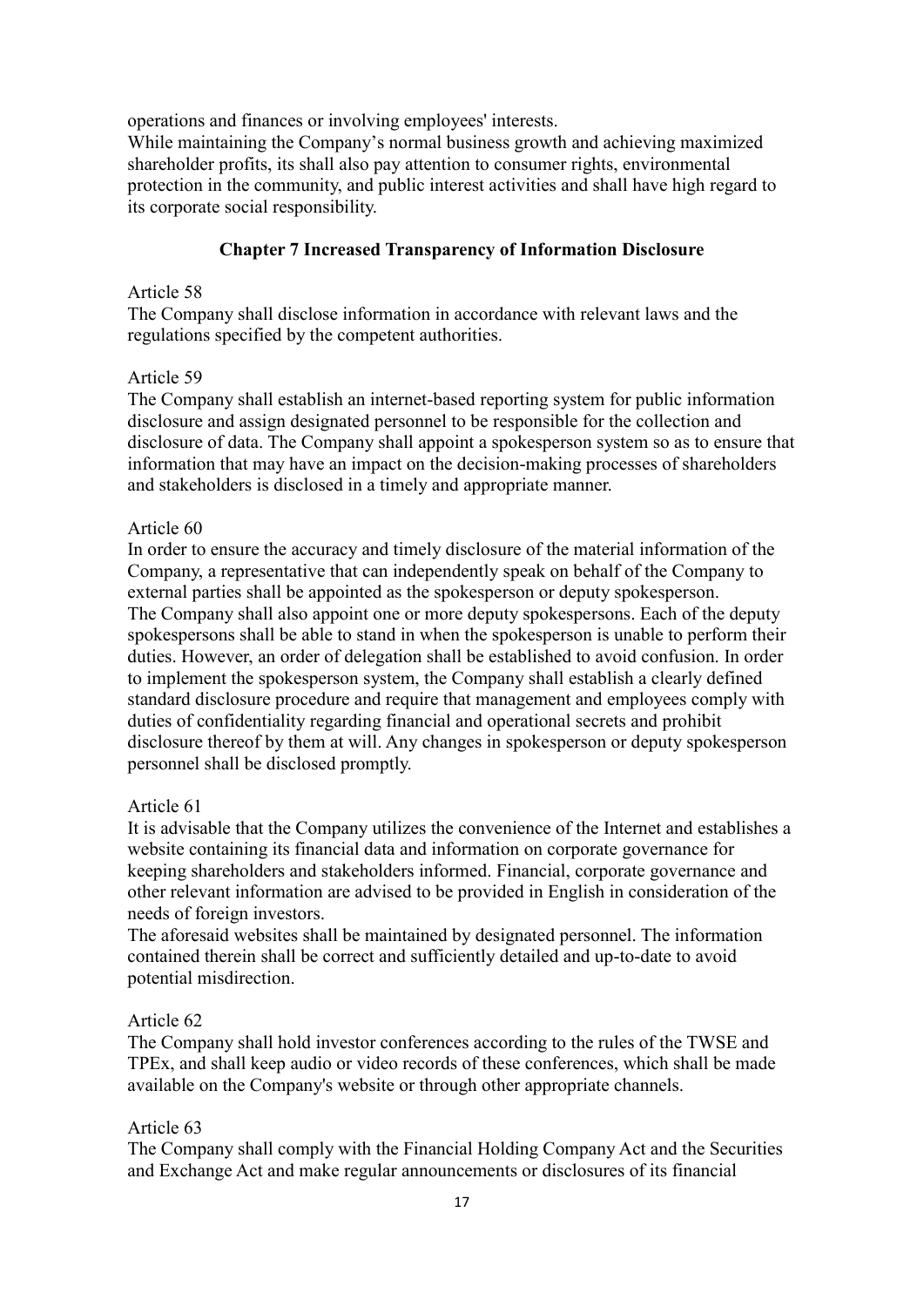operations and finances or involving employees' interests.

While maintaining the Company's normal business growth and achieving maximized shareholder profits, its shall also pay attention to consumer rights, environmental protection in the community, and public interest activities and shall have high regard to its corporate social responsibility.

## **Chapter 7 Increased Transparency of Information Disclosure**

### Article 58

The Company shall disclose information in accordance with relevant laws and the regulations specified by the competent authorities.

#### Article 59

The Company shall establish an internet-based reporting system for public information disclosure and assign designated personnel to be responsible for the collection and disclosure of data. The Company shall appoint a spokesperson system so as to ensure that information that may have an impact on the decision-making processes of shareholders and stakeholders is disclosed in a timely and appropriate manner.

#### Article 60

In order to ensure the accuracy and timely disclosure of the material information of the Company, a representative that can independently speak on behalf of the Company to external parties shall be appointed as the spokesperson or deputy spokesperson. The Company shall also appoint one or more deputy spokespersons. Each of the deputy spokespersons shall be able to stand in when the spokesperson is unable to perform their duties. However, an order of delegation shall be established to avoid confusion. In order to implement the spokesperson system, the Company shall establish a clearly defined standard disclosure procedure and require that management and employees comply with duties of confidentiality regarding financial and operational secrets and prohibit disclosure thereof by them at will. Any changes in spokesperson or deputy spokesperson personnel shall be disclosed promptly.

#### Article 61

It is advisable that the Company utilizes the convenience of the Internet and establishes a website containing its financial data and information on corporate governance for keeping shareholders and stakeholders informed. Financial, corporate governance and other relevant information are advised to be provided in English in consideration of the needs of foreign investors.

The aforesaid websites shall be maintained by designated personnel. The information contained therein shall be correct and sufficiently detailed and up-to-date to avoid potential misdirection.

#### Article 62

The Company shall hold investor conferences according to the rules of the TWSE and TPEx, and shall keep audio or video records of these conferences, which shall be made available on the Company's website or through other appropriate channels.

#### Article 63

The Company shall comply with the Financial Holding Company Act and the Securities and Exchange Act and make regular announcements or disclosures of its financial